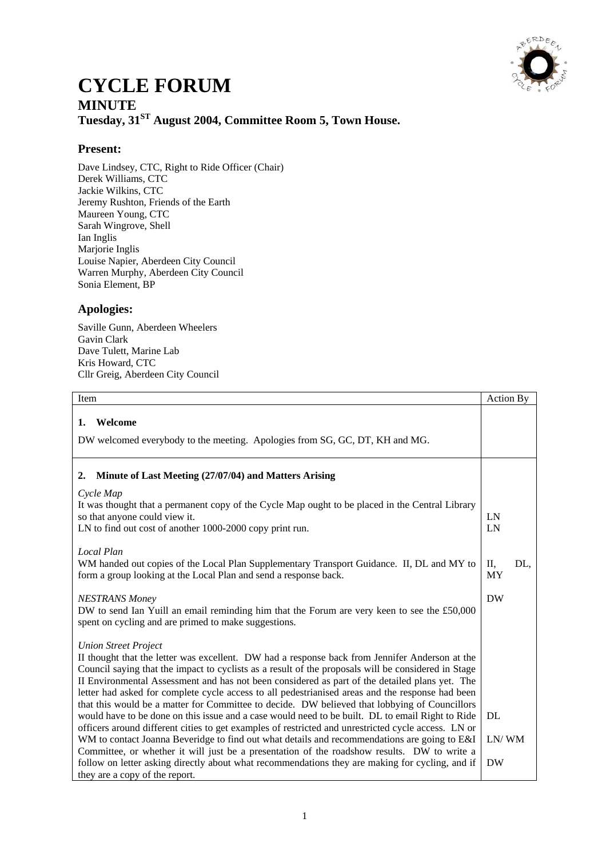

## **CYCLE FORUM MINUTE Tuesday, 31ST August 2004, Committee Room 5, Town House.**

## **Present:**

Dave Lindsey, CTC, Right to Ride Officer (Chair) Derek Williams, CTC Jackie Wilkins, CTC Jeremy Rushton, Friends of the Earth Maureen Young, CTC Sarah Wingrove, Shell Ian Inglis Marjorie Inglis Louise Napier, Aberdeen City Council Warren Murphy, Aberdeen City Council Sonia Element, BP

## **Apologies:**

Saville Gunn, Aberdeen Wheelers Gavin Clark Dave Tulett, Marine Lab Kris Howard, CTC Cllr Greig, Aberdeen City Council

| Item                                                                                                                                                                                                                                                                                                                                                                                                                                                                                                                                                                                                                                                                                                                                                                                                                                                                                                                                                  | Action By              |
|-------------------------------------------------------------------------------------------------------------------------------------------------------------------------------------------------------------------------------------------------------------------------------------------------------------------------------------------------------------------------------------------------------------------------------------------------------------------------------------------------------------------------------------------------------------------------------------------------------------------------------------------------------------------------------------------------------------------------------------------------------------------------------------------------------------------------------------------------------------------------------------------------------------------------------------------------------|------------------------|
| Welcome<br>1.<br>DW welcomed everybody to the meeting. Apologies from SG, GC, DT, KH and MG.                                                                                                                                                                                                                                                                                                                                                                                                                                                                                                                                                                                                                                                                                                                                                                                                                                                          |                        |
| Minute of Last Meeting (27/07/04) and Matters Arising<br>2.                                                                                                                                                                                                                                                                                                                                                                                                                                                                                                                                                                                                                                                                                                                                                                                                                                                                                           |                        |
| Cycle Map<br>It was thought that a permanent copy of the Cycle Map ought to be placed in the Central Library<br>so that anyone could view it.<br>LN to find out cost of another 1000-2000 copy print run.                                                                                                                                                                                                                                                                                                                                                                                                                                                                                                                                                                                                                                                                                                                                             | LN<br>LN               |
| Local Plan<br>WM handed out copies of the Local Plan Supplementary Transport Guidance. II, DL and MY to<br>form a group looking at the Local Plan and send a response back.                                                                                                                                                                                                                                                                                                                                                                                                                                                                                                                                                                                                                                                                                                                                                                           | П,<br>DL,<br><b>MY</b> |
| <b>NESTRANS Money</b><br>DW to send Ian Yuill an email reminding him that the Forum are very keen to see the £50,000<br>spent on cycling and are primed to make suggestions.                                                                                                                                                                                                                                                                                                                                                                                                                                                                                                                                                                                                                                                                                                                                                                          | <b>DW</b>              |
| <b>Union Street Project</b><br>II thought that the letter was excellent. DW had a response back from Jennifer Anderson at the<br>Council saying that the impact to cyclists as a result of the proposals will be considered in Stage<br>II Environmental Assessment and has not been considered as part of the detailed plans yet. The<br>letter had asked for complete cycle access to all pedestrianised areas and the response had been<br>that this would be a matter for Committee to decide. DW believed that lobbying of Councillors<br>would have to be done on this issue and a case would need to be built. DL to email Right to Ride<br>officers around different cities to get examples of restricted and unrestricted cycle access. LN or<br>WM to contact Joanna Beveridge to find out what details and recommendations are going to E&I<br>Committee, or whether it will just be a presentation of the roadshow results. DW to write a | DL<br>LN/WM            |
| follow on letter asking directly about what recommendations they are making for cycling, and if<br>they are a copy of the report.                                                                                                                                                                                                                                                                                                                                                                                                                                                                                                                                                                                                                                                                                                                                                                                                                     | <b>DW</b>              |